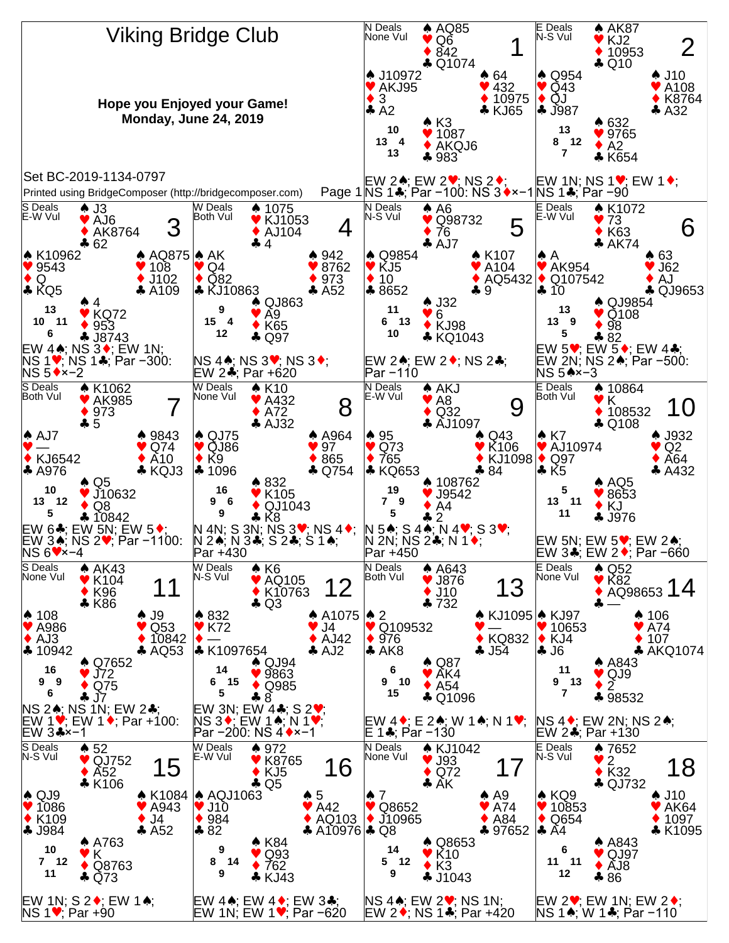